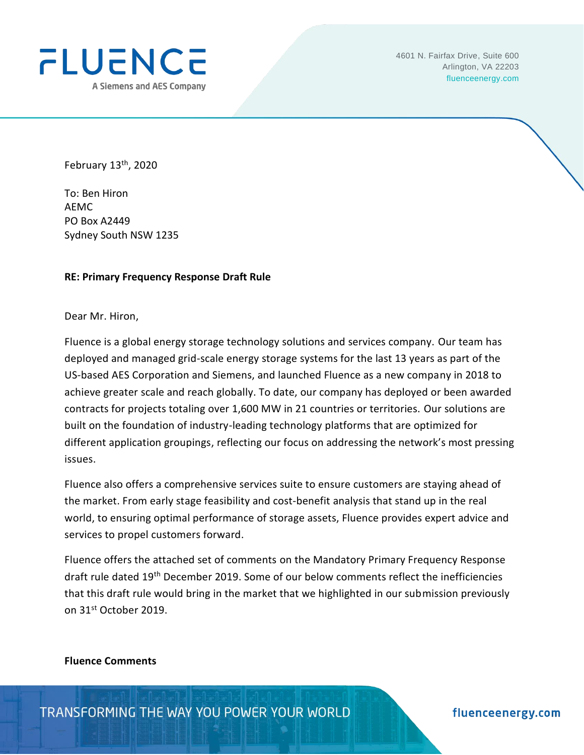

February 13<sup>th</sup>, 2020

To: Ben Hiron AEMC PO Box A2449 Sydney South NSW 1235

### **RE: Primary Frequency Response Draft Rule**

Dear Mr. Hiron,

Fluence is a global energy storage technology solutions and services company. Our team has deployed and managed grid-scale energy storage systems for the last 13 years as part of the US-based AES Corporation and Siemens, and launched Fluence as a new company in 2018 to achieve greater scale and reach globally. To date, our company has deployed or been awarded contracts for projects totaling over 1,600 MW in 21 countries or territories. Our solutions are built on the foundation of industry-leading technology platforms that are optimized for different application groupings, reflecting our focus on addressing the network's most pressing issues.

Fluence also offers a comprehensive services suite to ensure customers are staying ahead of the market. From early stage feasibility and cost-benefit analysis that stand up in the real world, to ensuring optimal performance of storage assets, Fluence provides expert advice and services to propel customers forward.

Fluence offers the attached set of comments on the Mandatory Primary Frequency Response draft rule dated 19<sup>th</sup> December 2019. Some of our below comments reflect the inefficiencies that this draft rule would bring in the market that we highlighted in our submission previously on 31st October 2019.

### **Fluence Comments**

TRANSFORMING THE WAY YOU POWER YOUR WORLD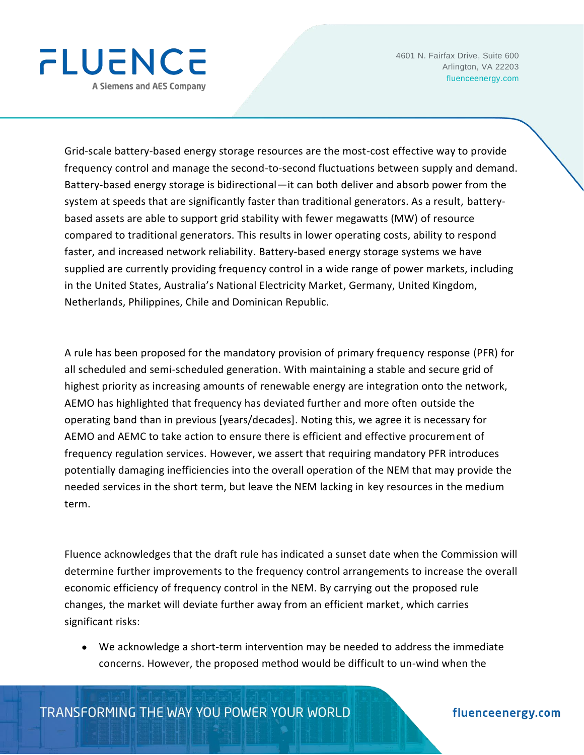

Grid-scale battery-based energy storage resources are the most-cost effective way to provide frequency control and manage the second-to-second fluctuations between supply and demand. Battery-based energy storage is bidirectional—it can both deliver and absorb power from the system at speeds that are significantly faster than traditional generators. As a result, batterybased assets are able to support grid stability with fewer megawatts (MW) of resource compared to traditional generators. This results in lower operating costs, ability to respond faster, and increased network reliability. Battery-based energy storage systems we have supplied are currently providing frequency control in a wide range of power markets, including in the United States, Australia's National Electricity Market, Germany, United Kingdom, Netherlands, Philippines, Chile and Dominican Republic.

A rule has been proposed for the mandatory provision of primary frequency response (PFR) for all scheduled and semi-scheduled generation. With maintaining a stable and secure grid of highest priority as increasing amounts of renewable energy are integration onto the network, AEMO has highlighted that frequency has deviated further and more often outside the operating band than in previous [years/decades]. Noting this, we agree it is necessary for AEMO and AEMC to take action to ensure there is efficient and effective procurement of frequency regulation services. However, we assert that requiring mandatory PFR introduces potentially damaging inefficiencies into the overall operation of the NEM that may provide the needed services in the short term, but leave the NEM lacking in key resources in the medium term.

Fluence acknowledges that the draft rule has indicated a sunset date when the Commission will determine further improvements to the frequency control arrangements to increase the overall economic efficiency of frequency control in the NEM. By carrying out the proposed rule changes, the market will deviate further away from an efficient market, which carries significant risks:

• We acknowledge a short-term intervention may be needed to address the immediate concerns. However, the proposed method would be difficult to un-wind when the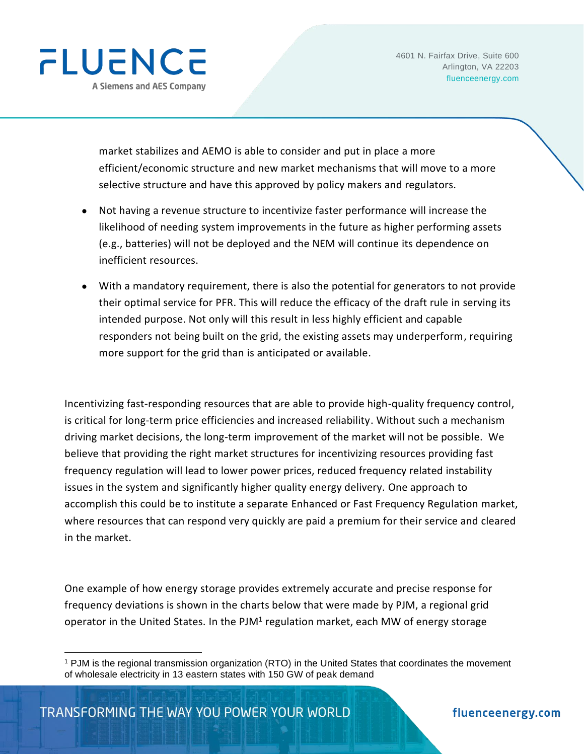

market stabilizes and AEMO is able to consider and put in place a more efficient/economic structure and new market mechanisms that will move to a more selective structure and have this approved by policy makers and regulators.

- Not having a revenue structure to incentivize faster performance will increase the likelihood of needing system improvements in the future as higher performing assets (e.g., batteries) will not be deployed and the NEM will continue its dependence on inefficient resources.
- With a mandatory requirement, there is also the potential for generators to not provide their optimal service for PFR. This will reduce the efficacy of the draft rule in serving its intended purpose. Not only will this result in less highly efficient and capable responders not being built on the grid, the existing assets may underperform, requiring more support for the grid than is anticipated or available.

Incentivizing fast-responding resources that are able to provide high-quality frequency control, is critical for long-term price efficiencies and increased reliability. Without such a mechanism driving market decisions, the long-term improvement of the market will not be possible. We believe that providing the right market structures for incentivizing resources providing fast frequency regulation will lead to lower power prices, reduced frequency related instability issues in the system and significantly higher quality energy delivery. One approach to accomplish this could be to institute a separate Enhanced or Fast Frequency Regulation market, where resources that can respond very quickly are paid a premium for their service and cleared in the market.

One example of how energy storage provides extremely accurate and precise response for frequency deviations is shown in the charts below that were made by PJM, a regional grid operator in the United States. In the PJM<sup>1</sup> regulation market, each MW of energy storage

<sup>1</sup> PJM is the regional transmission organization (RTO) in the United States that coordinates the movement of wholesale electricity in 13 eastern states with 150 GW of peak demand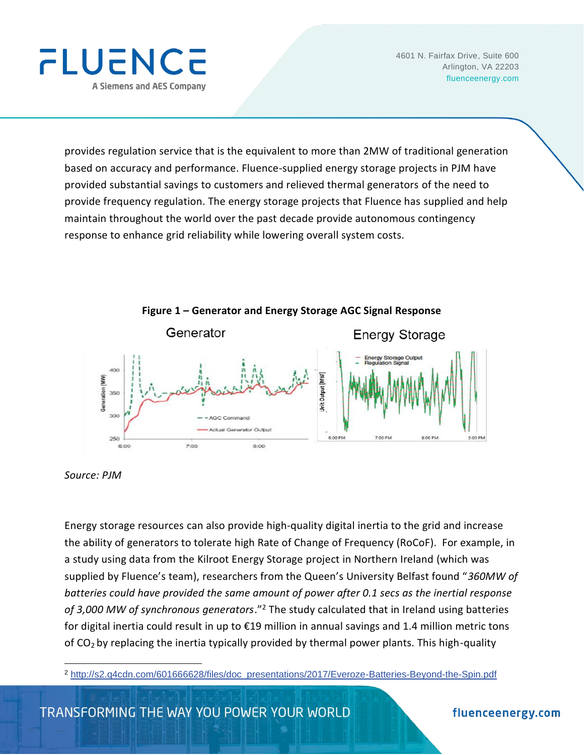

provides regulation service that is the equivalent to more than 2MW of traditional generation based on accuracy and performance. Fluence-supplied energy storage projects in PJM have provided substantial savings to customers and relieved thermal generators of the need to provide frequency regulation. The energy storage projects that Fluence has supplied and help maintain throughout the world over the past decade provide autonomous contingency response to enhance grid reliability while lowering overall system costs.



*Source: PJM*

Energy storage resources can also provide high-quality digital inertia to the grid and increase the ability of generators to tolerate high Rate of Change of Frequency (RoCoF). For example, in a study using data from the Kilroot Energy Storage project in Northern Ireland (which was supplied by Fluence's team), researchers from the Queen's University Belfast found "*360MW of batteries could have provided the same amount of power after 0.1 secs as the inertial response of 3,000 MW of synchronous generators*."<sup>2</sup> The study calculated that in Ireland using batteries for digital inertia could result in up to €19 million in annual savings and 1.4 million metric tons of CO2 by replacing the inertia typically provided by thermal power plants. This high-quality

<sup>2</sup> [http://s2.q4cdn.com/601666628/files/doc\\_presentations/2017/Everoze-Batteries-Beyond-the-Spin.pdf](http://s2.q4cdn.com/601666628/files/doc_presentations/2017/Everoze-Batteries-Beyond-the-Spin.pdf)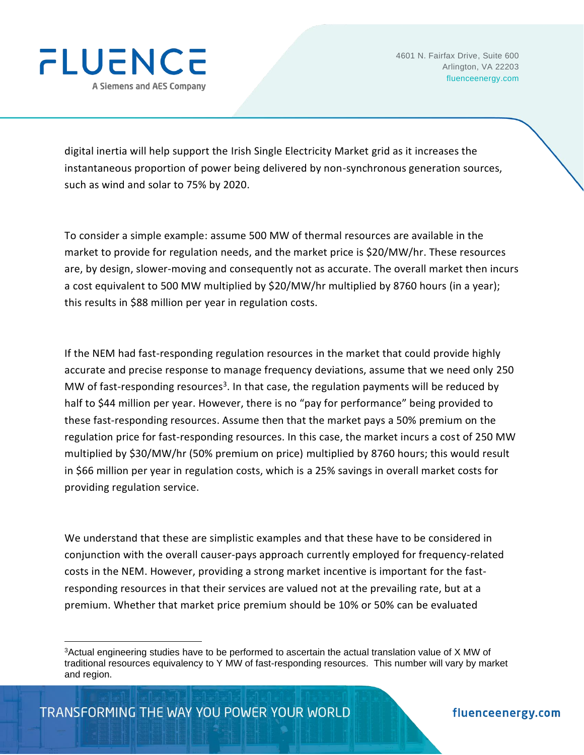

digital inertia will help support the Irish Single Electricity Market grid as it increases the instantaneous proportion of power being delivered by non-synchronous generation sources, such as wind and solar to 75% by 2020.

To consider a simple example: assume 500 MW of thermal resources are available in the market to provide for regulation needs, and the market price is \$20/MW/hr. These resources are, by design, slower-moving and consequently not as accurate. The overall market then incurs a cost equivalent to 500 MW multiplied by \$20/MW/hr multiplied by 8760 hours (in a year); this results in \$88 million per year in regulation costs.

If the NEM had fast-responding regulation resources in the market that could provide highly accurate and precise response to manage frequency deviations, assume that we need only 250 MW of fast-responding resources<sup>3</sup>. In that case, the regulation payments will be reduced by half to \$44 million per year. However, there is no "pay for performance" being provided to these fast-responding resources. Assume then that the market pays a 50% premium on the regulation price for fast-responding resources. In this case, the market incurs a cost of 250 MW multiplied by \$30/MW/hr (50% premium on price) multiplied by 8760 hours; this would result in \$66 million per year in regulation costs, which is a 25% savings in overall market costs for providing regulation service.

We understand that these are simplistic examples and that these have to be considered in conjunction with the overall causer-pays approach currently employed for frequency-related costs in the NEM. However, providing a strong market incentive is important for the fastresponding resources in that their services are valued not at the prevailing rate, but at a premium. Whether that market price premium should be 10% or 50% can be evaluated

<sup>3</sup>Actual engineering studies have to be performed to ascertain the actual translation value of X MW of traditional resources equivalency to Y MW of fast-responding resources. This number will vary by market and region.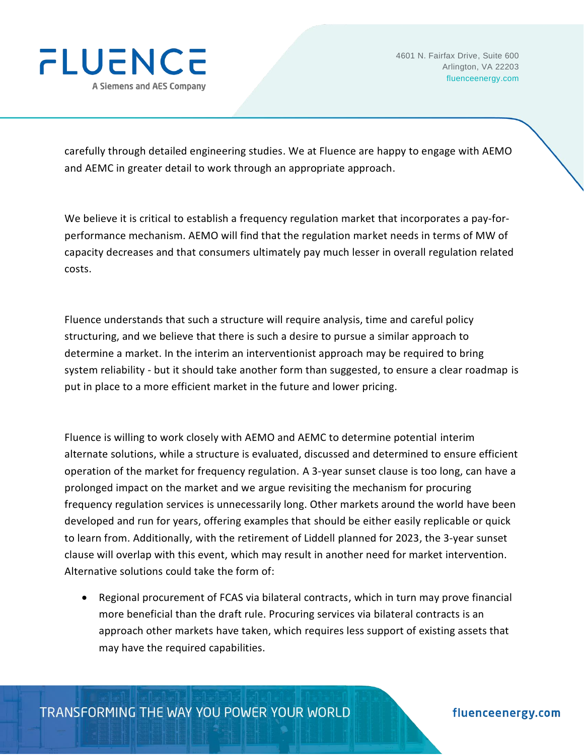

carefully through detailed engineering studies. We at Fluence are happy to engage with AEMO and AEMC in greater detail to work through an appropriate approach.

We believe it is critical to establish a frequency regulation market that incorporates a pay-forperformance mechanism. AEMO will find that the regulation market needs in terms of MW of capacity decreases and that consumers ultimately pay much lesser in overall regulation related costs.

Fluence understands that such a structure will require analysis, time and careful policy structuring, and we believe that there is such a desire to pursue a similar approach to determine a market. In the interim an interventionist approach may be required to bring system reliability - but it should take another form than suggested, to ensure a clear roadmap is put in place to a more efficient market in the future and lower pricing.

Fluence is willing to work closely with AEMO and AEMC to determine potential interim alternate solutions, while a structure is evaluated, discussed and determined to ensure efficient operation of the market for frequency regulation. A 3-year sunset clause is too long, can have a prolonged impact on the market and we argue revisiting the mechanism for procuring frequency regulation services is unnecessarily long. Other markets around the world have been developed and run for years, offering examples that should be either easily replicable or quick to learn from. Additionally, with the retirement of Liddell planned for 2023, the 3-year sunset clause will overlap with this event, which may result in another need for market intervention. Alternative solutions could take the form of:

• Regional procurement of FCAS via bilateral contracts, which in turn may prove financial more beneficial than the draft rule. Procuring services via bilateral contracts is an approach other markets have taken, which requires less support of existing assets that may have the required capabilities.

TRANSFORMING THE WAY YOU POWER YOUR WORLD